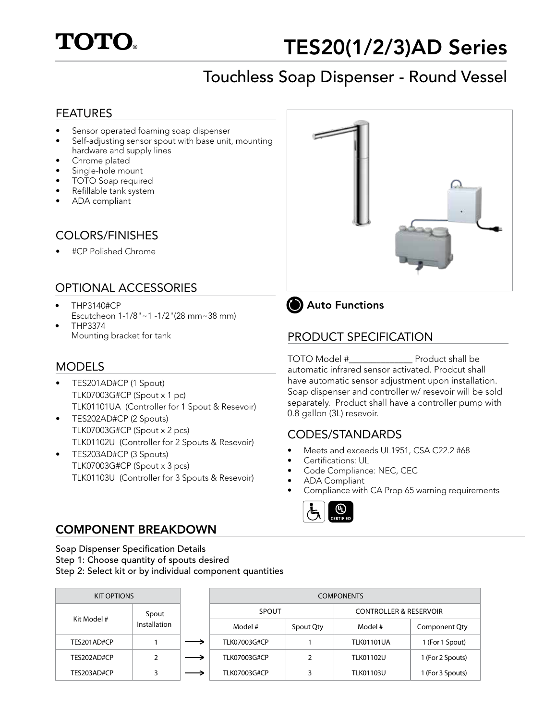

## TES20(1/2/3)AD Series

# Touchless Soap Dispenser - Round Vessel TES20(1/2/3)AD Series

#### FEATURES

- Sensor operated foaming soap dispenser
- Self-adjusting sensor spout with base unit, mounting hardware and supply lines
- Chrome plated
- Single-hole mount
- TOTO Soap required
- Refillable tank system
- ADA compliant

### COLORS/FINISHES

• #CP Polished Chrome

### OPTIONAL ACCESSORIES

- THP3140#CP Escutcheon 1-1/8"~1 -1/2"(28 mm~38 mm)
- THP3374 Mounting bracket for tank

#### **MODELS**

- TES201AD#CP (1 Spout) TLK07003G#CP (Spout x 1 pc) TLK01101UA (Controller for 1 Spout & Resevoir)
- TES202AD#CP (2 Spouts) TLK07003G#CP (Spout x 2 pcs) TLK01102U (Controller for 2 Spouts & Resevoir)
- TES203AD#CP (3 Spouts) TLK07003G#CP (Spout x 3 pcs) TLK01103U (Controller for 3 Spouts & Resevoir)





#### PRODUCT SPECIFICATION

TOTO Model #\_\_\_\_\_\_\_\_\_\_\_\_\_\_ Product shall be automatic infrared sensor activated. Prodcut shall have automatic sensor adjustment upon installation. Soap dispenser and controller w/ resevoir will be sold separately. Product shall have a controller pump with 0.8 gallon (3L) resevoir.

#### CODES/STANDARDS

- Meets and exceeds UL1951, CSA C22.2 #68
- Certifications: UL
- Code Compliance: NEC, CEC
- ADA Compliant
- Compliance with CA Prop 65 warning requirements



#### COMPONENT BREAKDOWN

Soap Dispenser Specification Details soap Bispenser Specification Betails<br>Step 1: Choose quantity of spouts desired

step 1: Shoose quantity of spouts desired<br>Step 2: Select kit or by individual component quantities  $S_{\text{top}}$  2: Select kit or by individual component quantities

| <b>KIT OPTIONS</b> |                       | <b>COMPONENTS</b>   |           |                                   |                  |  |
|--------------------|-----------------------|---------------------|-----------|-----------------------------------|------------------|--|
| Kit Model #        | Spout<br>Installation | SPOUT               |           | <b>CONTROLLER &amp; RESERVOIR</b> |                  |  |
|                    |                       | Model #             | Spout Qty | Model #                           | Component Qty    |  |
| TES201AD#CP        |                       | <b>TLK07003G#CP</b> |           | <b>TLK01101UA</b>                 | 1 (For 1 Spout)  |  |
| TES202AD#CP        |                       | <b>TLK07003G#CP</b> |           | <b>TLK01102U</b>                  | 1 (For 2 Spouts) |  |
| TES203AD#CP        |                       | <b>TLK07003G#CP</b> |           | <b>TLK01103U</b>                  | 1 (For 3 Spouts) |  |